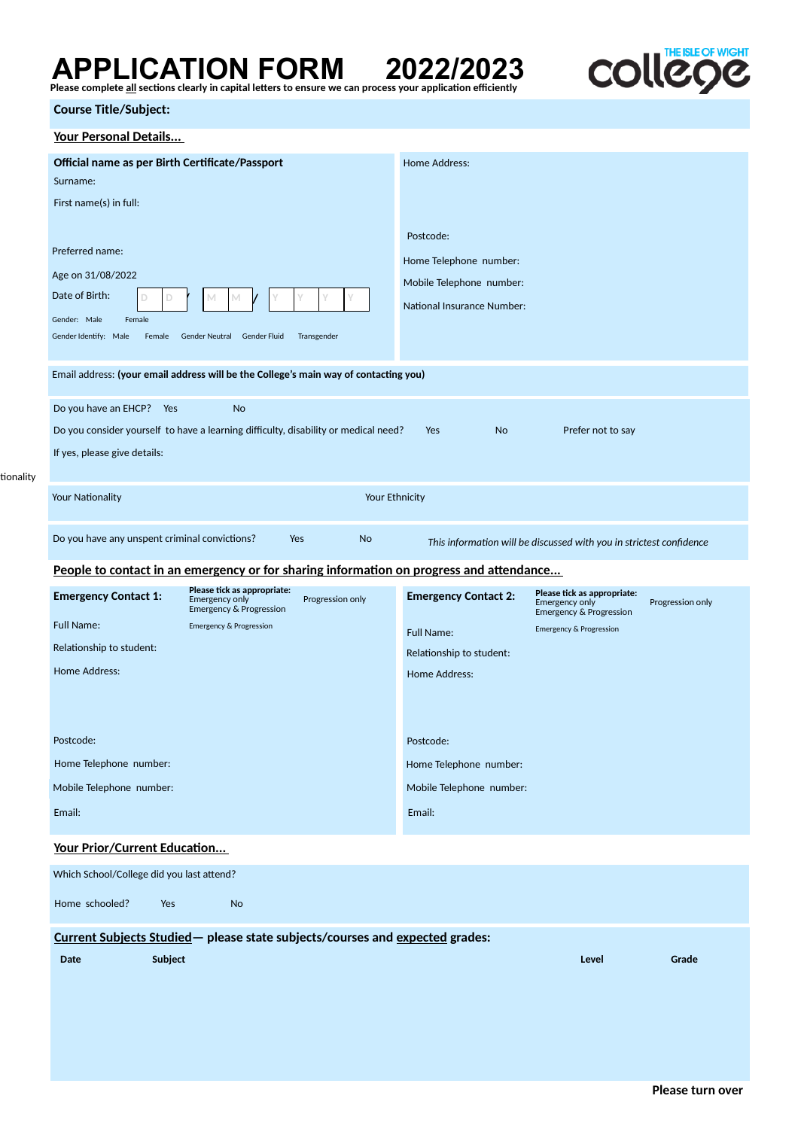## APPLICATION FORM 2022/2023<br>Please complete <u>all</u> sections clearly in capital letters to ensure we can process your application efficiently



## **Course Title/Subject:**

tionality

| Your Personal Details                                                                                                                    |                                                                                                         |  |  |  |  |  |  |  |  |  |  |  |
|------------------------------------------------------------------------------------------------------------------------------------------|---------------------------------------------------------------------------------------------------------|--|--|--|--|--|--|--|--|--|--|--|
| Official name as per Birth Certificate/Passport                                                                                          | Home Address:                                                                                           |  |  |  |  |  |  |  |  |  |  |  |
| Surname:                                                                                                                                 |                                                                                                         |  |  |  |  |  |  |  |  |  |  |  |
| First name(s) in full:                                                                                                                   |                                                                                                         |  |  |  |  |  |  |  |  |  |  |  |
|                                                                                                                                          | Postcode:                                                                                               |  |  |  |  |  |  |  |  |  |  |  |
| Preferred name:                                                                                                                          | Home Telephone number:                                                                                  |  |  |  |  |  |  |  |  |  |  |  |
| Age on 31/08/2022                                                                                                                        | Mobile Telephone number:                                                                                |  |  |  |  |  |  |  |  |  |  |  |
| Date of Birth:<br>D<br>D<br>М                                                                                                            | <b>National Insurance Number:</b>                                                                       |  |  |  |  |  |  |  |  |  |  |  |
| Gender: Male<br>Female                                                                                                                   |                                                                                                         |  |  |  |  |  |  |  |  |  |  |  |
| Gender Identify: Male<br>Female<br>Gender Neutral Gender Fluid<br>Transgender                                                            |                                                                                                         |  |  |  |  |  |  |  |  |  |  |  |
| Email address: (your email address will be the College's main way of contacting you)                                                     |                                                                                                         |  |  |  |  |  |  |  |  |  |  |  |
|                                                                                                                                          |                                                                                                         |  |  |  |  |  |  |  |  |  |  |  |
| Do you have an EHCP?<br>Yes<br><b>No</b>                                                                                                 |                                                                                                         |  |  |  |  |  |  |  |  |  |  |  |
| Do you consider yourself to have a learning difficulty, disability or medical need?                                                      | <b>No</b><br>Prefer not to say<br>Yes                                                                   |  |  |  |  |  |  |  |  |  |  |  |
| If yes, please give details:                                                                                                             |                                                                                                         |  |  |  |  |  |  |  |  |  |  |  |
|                                                                                                                                          |                                                                                                         |  |  |  |  |  |  |  |  |  |  |  |
| Your Nationality                                                                                                                         | Your Ethnicity                                                                                          |  |  |  |  |  |  |  |  |  |  |  |
| Do you have any unspent criminal convictions?<br>Yes<br><b>No</b><br>This information will be discussed with you in strictest confidence |                                                                                                         |  |  |  |  |  |  |  |  |  |  |  |
| People to contact in an emergency or for sharing information on progress and attendance                                                  |                                                                                                         |  |  |  |  |  |  |  |  |  |  |  |
| Please tick as appropriate:                                                                                                              | Please tick as appropriate:                                                                             |  |  |  |  |  |  |  |  |  |  |  |
| <b>Emergency Contact 1:</b><br>Progression only<br><b>Emergency only</b><br>Emergency & Progression                                      | <b>Emergency Contact 2:</b><br>Emergency only<br>Progression only<br><b>Emergency &amp; Progression</b> |  |  |  |  |  |  |  |  |  |  |  |
| <b>Full Name:</b><br><b>Emergency &amp; Progression</b>                                                                                  | <b>Emergency &amp; Progression</b><br><b>Full Name:</b>                                                 |  |  |  |  |  |  |  |  |  |  |  |
| Relationship to student:                                                                                                                 | Relationship to student:                                                                                |  |  |  |  |  |  |  |  |  |  |  |
| <b>Home Address:</b>                                                                                                                     | Home Address:                                                                                           |  |  |  |  |  |  |  |  |  |  |  |
|                                                                                                                                          |                                                                                                         |  |  |  |  |  |  |  |  |  |  |  |
|                                                                                                                                          |                                                                                                         |  |  |  |  |  |  |  |  |  |  |  |
| Postcode:                                                                                                                                | Postcode:                                                                                               |  |  |  |  |  |  |  |  |  |  |  |
| Home Telephone number:                                                                                                                   | Home Telephone number:                                                                                  |  |  |  |  |  |  |  |  |  |  |  |
| Mobile Telephone number:                                                                                                                 | Mobile Telephone number:                                                                                |  |  |  |  |  |  |  |  |  |  |  |
| Email:                                                                                                                                   | Email:                                                                                                  |  |  |  |  |  |  |  |  |  |  |  |
|                                                                                                                                          |                                                                                                         |  |  |  |  |  |  |  |  |  |  |  |
| Your Prior/Current Education                                                                                                             |                                                                                                         |  |  |  |  |  |  |  |  |  |  |  |
| Which School/College did you last attend?                                                                                                |                                                                                                         |  |  |  |  |  |  |  |  |  |  |  |
| Home schooled?<br><b>No</b><br>Yes                                                                                                       |                                                                                                         |  |  |  |  |  |  |  |  |  |  |  |
| Current Subjects Studied- please state subjects/courses and expected grades:                                                             |                                                                                                         |  |  |  |  |  |  |  |  |  |  |  |
| Date<br>Subject                                                                                                                          | Grade<br>Level                                                                                          |  |  |  |  |  |  |  |  |  |  |  |